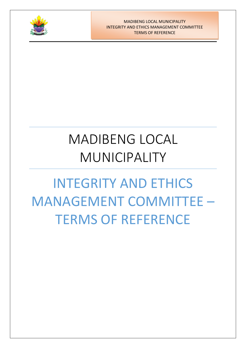

MADIBENG LOCAL MUNICIPALITY INTEGRITY AND ETHICS MANAGEMENT COMMITTEE TERMS OF REFERENCE

# MADIBENG LOCAL MUNICIPALITY

# INTEGRITY AND ETHICS MANAGEMENT COMMITTEE – TERMS OF REFERENCE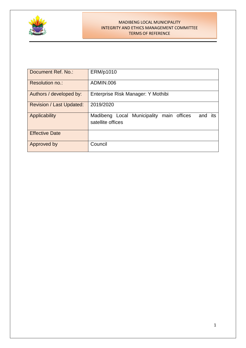

#### MADIBENG LOCAL MUNICIPALITY INTEGRITY AND ETHICS MANAGEMENT COMMITTEE TERMS OF REFERENCE

| Document Ref. No.:              | ERM/p1010                                                                   |
|---------------------------------|-----------------------------------------------------------------------------|
| Resolution no.:                 | ADMIN.006                                                                   |
| Authors / developed by:         | Enterprise Risk Manager: Y Mothibi                                          |
| <b>Revision / Last Updated:</b> | 2019/2020                                                                   |
| Applicability                   | Local Municipality main offices<br>Madibeng<br>and its<br>satellite offices |
| <b>Effective Date</b>           |                                                                             |
| Approved by                     | Council                                                                     |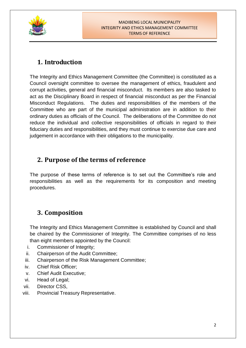

## **1. Introduction**

The Integrity and Ethics Management Committee (the Committee) is constituted as a Council oversight committee to oversee the management of ethics, fraudulent and corrupt activities, general and financial misconduct. Its members are also tasked to act as the Disciplinary Board in respect of financial misconduct as per the Financial Misconduct Regulations. The duties and responsibilities of the members of the Committee who are part of the municipal administration are in addition to their ordinary duties as officials of the Council. The deliberations of the Committee do not reduce the individual and collective responsibilities of officials in regard to their fiduciary duties and responsibilities, and they must continue to exercise due care and judgement in accordance with their obligations to the municipality.

## **2. Purpose of the terms of reference**

The purpose of these terms of reference is to set out the Committee's role and responsibilities as well as the requirements for its composition and meeting procedures.

## **3. Composition**

The Integrity and Ethics Management Committee is established by Council and shall be chaired by the Commissioner of Integrity. The Committee comprises of no less than eight members appointed by the Council:

- i. Commissioner of Integrity;
- ii. Chairperson of the Audit Committee;
- iii. Chairperson of the Risk Management Committee;
- iv. Chief Risk Officer;
- v. Chief Audit Executive;
- vi. Head of Legal;
- vii. Director CSS,
- viii. Provincial Treasury Representative.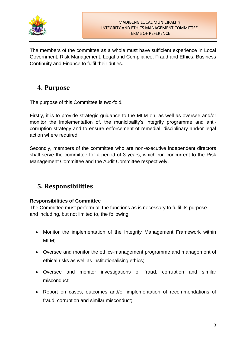

#### MADIBENG LOCAL MUNICIPALITY INTEGRITY AND ETHICS MANAGEMENT COMMITTEE TERMS OF REFERENCE

The members of the committee as a whole must have sufficient experience in Local Government, Risk Management, Legal and Compliance, Fraud and Ethics, Business Continuity and Finance to fulfil their duties.

## **4. Purpose**

The purpose of this Committee is two-fold.

Firstly, it is to provide strategic guidance to the MLM on, as well as oversee and/or monitor the implementation of, the municipality's integrity programme and anticorruption strategy and to ensure enforcement of remedial, disciplinary and/or legal action where required.

Secondly, members of the committee who are non-executive independent directors shall serve the committee for a period of 3 years, which run concurrent to the Risk Management Committee and the Audit Committee respectively.

# **5. Responsibilities**

## **Responsibilities of Committee**

The Committee must perform all the functions as is necessary to fulfil its purpose and including, but not limited to, the following:

- Monitor the implementation of the Integrity Management Framework within MLM;
- Oversee and monitor the ethics-management programme and management of ethical risks as well as institutionalising ethics;
- Oversee and monitor investigations of fraud, corruption and similar misconduct;
- Report on cases, outcomes and/or implementation of recommendations of fraud, corruption and similar misconduct;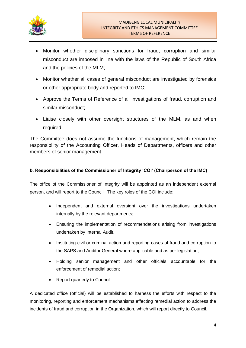

- Monitor whether disciplinary sanctions for fraud, corruption and similar misconduct are imposed in line with the laws of the Republic of South Africa and the policies of the MLM;
- Monitor whether all cases of general misconduct are investigated by forensics or other appropriate body and reported to IMC;
- Approve the Terms of Reference of all investigations of fraud, corruption and similar misconduct;
- Liaise closely with other oversight structures of the MLM, as and when required.

The Committee does not assume the functions of management, which remain the responsibility of the Accounting Officer, Heads of Departments, officers and other members of senior management.

#### **b. Responsibilities of the Commissioner of Integrity 'COI' (Chairperson of the IMC)**

The office of the Commissioner of Integrity will be appointed as an independent external person, and will report to the Council. The key roles of the COI include:

- Independent and external oversight over the investigations undertaken internally by the relevant departments;
- Ensuring the implementation of recommendations arising from investigations undertaken by Internal Audit.
- Instituting civil or criminal action and reporting cases of fraud and corruption to the SAPS and Auditor General where applicable and as per legislation,
- Holding senior management and other officials accountable for the enforcement of remedial action;
- Report quarterly to Council

A dedicated office (official) will be established to harness the efforts with respect to the monitoring, reporting and enforcement mechanisms effecting remedial action to address the incidents of fraud and corruption in the Organization, which will report directly to Council.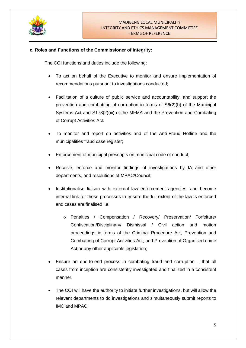

#### **c. Roles and Functions of the Commissioner of Integrity:**

The COI functions and duties include the following:

- To act on behalf of the Executive to monitor and ensure implementation of recommendations pursuant to investigations conducted;
- Facilitation of a culture of public service and accountability, and support the prevention and combatting of corruption in terms of S6(2)(b) of the Municipal Systems Act and S173(2)(iii) of the MFMA and the Prevention and Combating of Corrupt Activities Act.
- To monitor and report on activities and of the Anti-Fraud Hotline and the municipalities fraud case register;
- Enforcement of municipal prescripts on municipal code of conduct;
- Receive, enforce and monitor findings of investigations by IA and other departments, and resolutions of MPAC/Council;
- Institutionalise liaison with external law enforcement agencies, and become internal link for these processes to ensure the full extent of the law is enforced and cases are finalised i.e.
	- o Penalties / Compensation / Recovery/ Preservation/ Forfeiture/ Confiscation/Disciplinary/ Dismissal / Civil action and motion proceedings in terms of the Criminal Procedure Act, Prevention and Combatting of Corrupt Activities Act; and Prevention of Organised crime Act or any other applicable legislation;
- Ensure an end-to-end process in combating fraud and corruption that all cases from inception are consistently investigated and finalized in a consistent manner.
- The COI will have the authority to initiate further investigations, but will allow the relevant departments to do investigations and simultaneously submit reports to IMC and MPAC;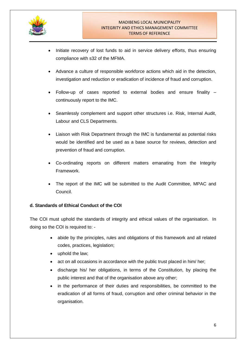

- Initiate recovery of lost funds to aid in service delivery efforts, thus ensuring compliance with s32 of the MFMA.
- Advance a culture of responsible workforce actions which aid in the detection, investigation and reduction or eradication of incidence of fraud and corruption.
- Follow-up of cases reported to external bodies and ensure finality continuously report to the IMC.
- Seamlessly complement and support other structures i.e. Risk, Internal Audit, Labour and CLS Departments.
- Liaison with Risk Department through the IMC is fundamental as potential risks would be identified and be used as a base source for reviews, detection and prevention of fraud and corruption.
- Co-ordinating reports on different matters emanating from the Integrity Framework.
- The report of the IMC will be submitted to the Audit Committee, MPAC and Council.

## **d. Standards of Ethical Conduct of the COI**

The COI must uphold the standards of integrity and ethical values of the organisation. In doing so the COI is required to: -

- abide by the principles, rules and obligations of this framework and all related codes, practices, legislation;
- uphold the law;
- act on all occasions in accordance with the public trust placed in him/ her;
- discharge his/ her obligations, in terms of the Constitution, by placing the public interest and that of the organisation above any other;
- in the performance of their duties and responsibilities, be committed to the eradication of all forms of fraud, corruption and other criminal behavior in the organisation.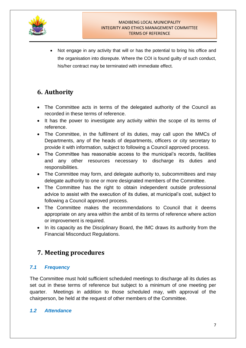

• Not engage in any activity that will or has the potential to bring his office and the organisation into disrepute. Where the COI is found guilty of such conduct, his/her contract may be terminated with immediate effect.

# **6. Authority**

- The Committee acts in terms of the delegated authority of the Council as recorded in these terms of reference.
- It has the power to investigate any activity within the scope of its terms of reference.
- The Committee, in the fulfilment of its duties, may call upon the MMCs of Departments, any of the heads of departments, officers or city secretary to provide it with information, subject to following a Council approved process.
- The Committee has reasonable access to the municipal's records, facilities and any other resources necessary to discharge its duties and responsibilities.
- The Committee may form, and delegate authority to, subcommittees and may delegate authority to one or more designated members of the Committee.
- The Committee has the right to obtain independent outside professional advice to assist with the execution of its duties, at municipal's cost, subject to following a Council approved process.
- The Committee makes the recommendations to Council that it deems appropriate on any area within the ambit of its terms of reference where action or improvement is required.
- In its capacity as the Disciplinary Board, the IMC draws its authority from the Financial Misconduct Regulations.

## **7. Meeting procedures**

## *7.1 Frequency*

The Committee must hold sufficient scheduled meetings to discharge all its duties as set out in these terms of reference but subject to a minimum of one meeting per quarter. Meetings in addition to those scheduled may, with approval of the chairperson, be held at the request of other members of the Committee.

## *1.2 Attendance*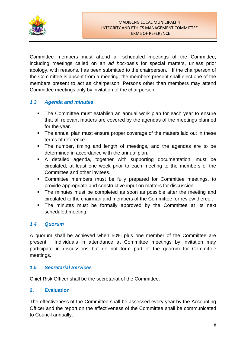

Committee members must attend all scheduled meetings of the Committee, including meetings called on an *ad hoc*-basis for special matters, unless prior apology, with reasons, has been submitted to the chairperson. If the chairperson of the Committee is absent from a meeting, the members present shall elect one of the members present to act as chairperson. Persons other than members may attend Committee meetings only by invitation of the chairperson.

## *1.3 Agenda and minutes*

- **The Committee must establish an annual work plan for each year to ensure** that all relevant matters are covered by the agendas of the meetings planned for the year.
- The annual plan must ensure proper coverage of the matters laid out in these terms of reference.
- The number, timing and length of meetings, and the agendas are to be determined in accordance with the annual plan.
- A detailed agenda, together with supporting documentation, must be circulated, at least one week prior to each meeting to the members of the Committee and other invitees.
- Committee members must be fully prepared for Committee meetings, to provide appropriate and constructive input on matters for discussion.
- The minutes must be completed as soon as possible after the meeting and circulated to the chairman and members of the Committee for review thereof.
- The minutes must be formally approved by the Committee at its next scheduled meeting.

## *1.4 Quorum*

A quorum shall be achieved when 50% plus one member of the Committee are present. Individuals in attendance at Committee meetings by invitation may participate in discussions but do not form part of the quorum for Committee meetings.

## *1.5 Secretarial Services*

Chief Risk Officer shall be the secretariat of the Committee.

## **2. Evaluation**

The effectiveness of the Committee shall be assessed every year by the Accounting Officer and the report on the effectiveness of the Committee shall be communicated to Council annually.